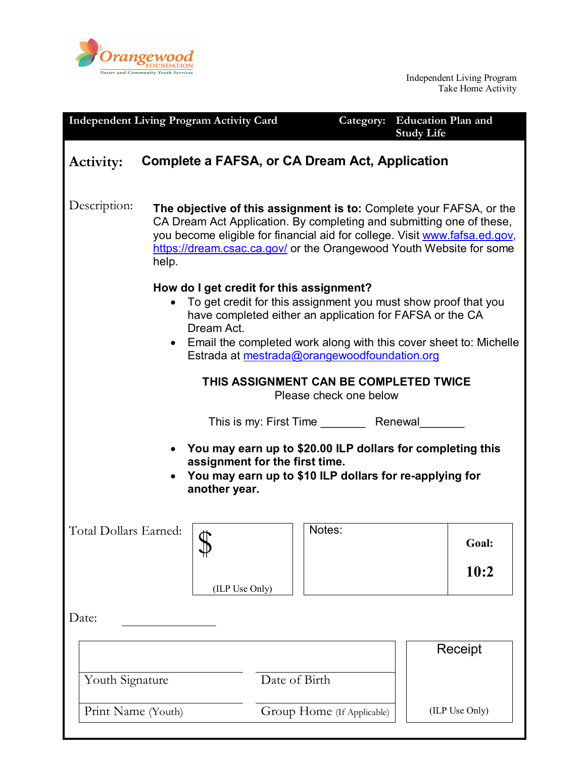

Independent Living Program Take Home Activity

| <b>Independent Living Program Activity Card</b>                                                                                                                                                                                                                                                             |                                                                                                                                                                                                                                                                                                           |               | <b>Education Plan and</b><br>Category:<br><b>Study Life</b> |                |
|-------------------------------------------------------------------------------------------------------------------------------------------------------------------------------------------------------------------------------------------------------------------------------------------------------------|-----------------------------------------------------------------------------------------------------------------------------------------------------------------------------------------------------------------------------------------------------------------------------------------------------------|---------------|-------------------------------------------------------------|----------------|
| Complete a FAFSA, or CA Dream Act, Application<br><b>Activity:</b>                                                                                                                                                                                                                                          |                                                                                                                                                                                                                                                                                                           |               |                                                             |                |
| Description:                                                                                                                                                                                                                                                                                                | The objective of this assignment is to: Complete your FAFSA, or the<br>CA Dream Act Application. By completing and submitting one of these,<br>you become eligible for financial aid for college. Visit www.fafsa.ed.gov,<br>https://dream.csac.ca.gov/ or the Orangewood Youth Website for some<br>help. |               |                                                             |                |
| How do I get credit for this assignment?<br>To get credit for this assignment you must show proof that you<br>have completed either an application for FAFSA or the CA<br>Dream Act.<br>• Email the completed work along with this cover sheet to: Michelle<br>Estrada at mestrada@orangewoodfoundation.org |                                                                                                                                                                                                                                                                                                           |               |                                                             |                |
| THIS ASSIGNMENT CAN BE COMPLETED TWICE<br>Please check one below                                                                                                                                                                                                                                            |                                                                                                                                                                                                                                                                                                           |               |                                                             |                |
| This is my: First Time __________ Renewal_                                                                                                                                                                                                                                                                  |                                                                                                                                                                                                                                                                                                           |               |                                                             |                |
| You may earn up to \$20.00 ILP dollars for completing this<br>assignment for the first time.<br>You may earn up to \$10 ILP dollars for re-applying for<br>another year.                                                                                                                                    |                                                                                                                                                                                                                                                                                                           |               |                                                             |                |
| Total Dollars Earned:                                                                                                                                                                                                                                                                                       | ₼                                                                                                                                                                                                                                                                                                         |               | Notes:                                                      | Goal:          |
|                                                                                                                                                                                                                                                                                                             | (ILP Use Only)                                                                                                                                                                                                                                                                                            |               |                                                             | 10:2           |
| Date:                                                                                                                                                                                                                                                                                                       |                                                                                                                                                                                                                                                                                                           |               |                                                             |                |
|                                                                                                                                                                                                                                                                                                             |                                                                                                                                                                                                                                                                                                           |               |                                                             | Receipt        |
| Youth Signature                                                                                                                                                                                                                                                                                             |                                                                                                                                                                                                                                                                                                           | Date of Birth |                                                             |                |
| Print Name (Youth)                                                                                                                                                                                                                                                                                          |                                                                                                                                                                                                                                                                                                           |               | Group Home (If Applicable)                                  | (ILP Use Only) |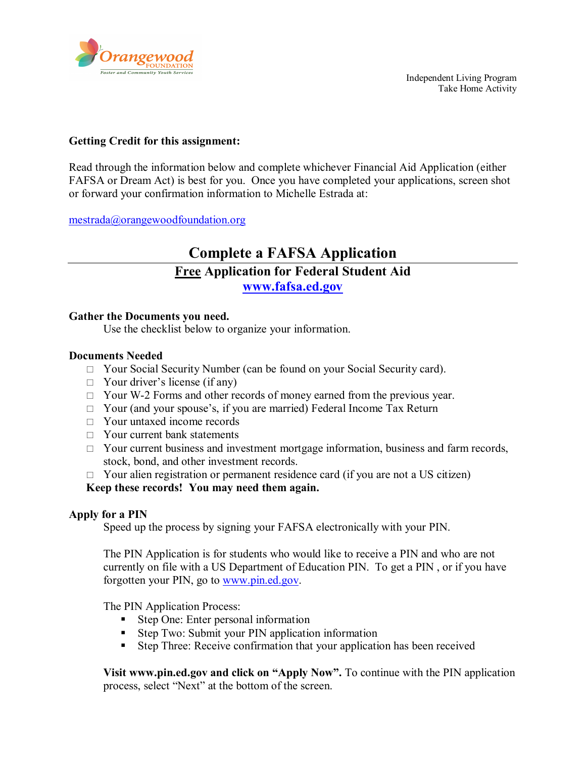

#### **Getting Credit for this assignment:**

Read through the information below and complete whichever Financial Aid Application (either FAFSA or Dream Act) is best for you. Once you have completed your applications, screen shot or forward your confirmation information to Michelle Estrada at:

[mestrada@orangewoodfoundation.org](mailto:mestrada@orangewoodfoundation.org)

### **Complete a FAFSA Application Free Application for Federal Student Aid [www.fafsa.ed.gov](http://www.fafsa.ed.gov/)**

#### **Gather the Documents you need.**

Use the checklist below to organize your information.

#### **Documents Needed**

- $\Box$  Your Social Security Number (can be found on your Social Security card).
- $\Box$  Your driver's license (if any)
- $\Box$  Your W-2 Forms and other records of money earned from the previous year.
- $\Box$  Your (and your spouse's, if you are married) Federal Income Tax Return
- □ Your untaxed income records
- $\Box$  Your current bank statements
- $\Box$  Your current business and investment mortgage information, business and farm records, stock, bond, and other investment records.
- $\Box$  Your alien registration or permanent residence card (if you are not a US citizen)

#### **Keep these records! You may need them again.**

#### **Apply for a PIN**

Speed up the process by signing your FAFSA electronically with your PIN.

The PIN Application is for students who would like to receive a PIN and who are not currently on file with a US Department of Education PIN. To get a PIN , or if you have forgotten your PIN, go to [www.pin.ed.gov.](http://www.pin.ed.gov/)

The PIN Application Process:

- Step One: Enter personal information
- **Step Two: Submit your PIN application information**
- Step Three: Receive confirmation that your application has been received

**Visit www.pin.ed.gov and click on "Apply Now".** To continue with the PIN application process, select "Next" at the bottom of the screen.